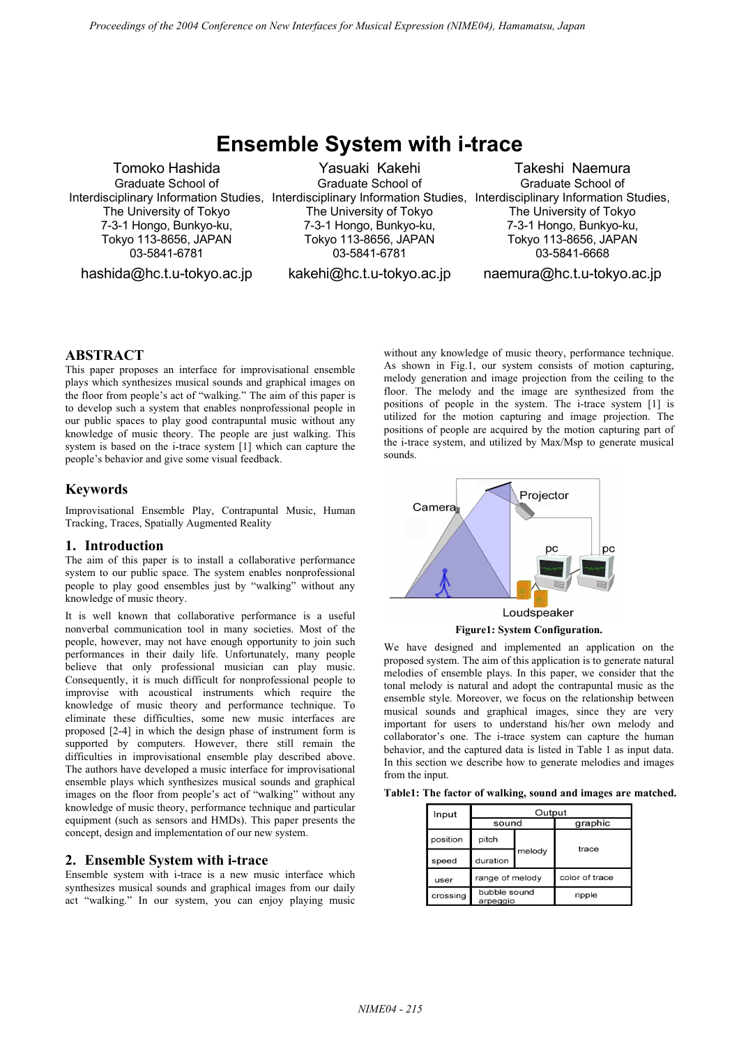# **Ensemble System with i-trace**

Tomoko Hashida Graduate School of Interdisciplinary Information Studies, Interdisciplinary Information Studies, Interdisciplinary Information Studies, The University of Tokyo 7-3-1 Hongo, Bunkyo-ku, Tokyo 113-8656, JAPAN 03-5841-6781

hashida@hc.t.u-tokyo.ac.jp

Yasuaki Kakehi Graduate School of The University of Tokyo 7-3-1 Hongo, Bunkyo-ku, Tokyo 113-8656, JAPAN 03-5841-6781

kakehi@hc.t.u-tokyo.ac.jp

Takeshi Naemura Graduate School of The University of Tokyo 7-3-1 Hongo, Bunkyo-ku, Tokyo 113-8656, JAPAN 03-5841-6668

naemura@hc.t.u-tokyo.ac.jp

## **ABSTRACT**

This paper proposes an interface for improvisational ensemble plays which synthesizes musical sounds and graphical images on the floor from people's act of "walking." The aim of this paper is to develop such a system that enables nonprofessional people in our public spaces to play good contrapuntal music without any knowledge of music theory. The people are just walking. This system is based on the i-trace system [1] which can capture the people's behavior and give some visual feedback.

## **Keywords**

Improvisational Ensemble Play, Contrapuntal Music, Human Tracking, Traces, Spatially Augmented Reality

#### **1. Introduction**

The aim of this paper is to install a collaborative performance system to our public space. The system enables nonprofessional people to play good ensembles just by "walking" without any knowledge of music theory.

It is well known that collaborative performance is a useful nonverbal communication tool in many societies. Most of the people, however, may not have enough opportunity to join such performances in their daily life. Unfortunately, many people believe that only professional musician can play music. Consequently, it is much difficult for nonprofessional people to improvise with acoustical instruments which require the knowledge of music theory and performance technique. To eliminate these difficulties, some new music interfaces are proposed [2-4] in which the design phase of instrument form is supported by computers. However, there still remain the difficulties in improvisational ensemble play described above. The authors have developed a music interface for improvisational ensemble plays which synthesizes musical sounds and graphical images on the floor from people's act of "walking" without any knowledge of music theory, performance technique and particular equipment (such as sensors and HMDs). This paper presents the concept, design and implementation of our new system.

## **2. Ensemble System with i-trace**

Ensemble system with i-trace is a new music interface which synthesizes musical sounds and graphical images from our daily act "walking." In our system, you can enjoy playing music

without any knowledge of music theory, performance technique. As shown in Fig.1, our system consists of motion capturing, melody generation and image projection from the ceiling to the floor. The melody and the image are synthesized from the positions of people in the system. The i-trace system [1] is utilized for the motion capturing and image projection. The positions of people are acquired by the motion capturing part of the i-trace system, and utilized by Max/Msp to generate musical sounds.



We have designed and implemented an application on the proposed system. The aim of this application is to generate natural melodies of ensemble plays. In this paper, we consider that the tonal melody is natural and adopt the contrapuntal music as the ensemble style. Moreover, we focus on the relationship between musical sounds and graphical images, since they are very important for users to understand his/her own melody and collaborator's one. The i-trace system can capture the human behavior, and the captured data is listed in Table 1 as input data. In this section we describe how to generate melodies and images from the input.

**Table1: The factor of walking, sound and images are matched.** 

| Input    | Output                   |        |                |
|----------|--------------------------|--------|----------------|
|          | sound                    |        | graphic        |
| position | pitch                    | melody | trace          |
| speed    | duration                 |        |                |
| user     | range of melody          |        | color of trace |
| crossing | bubble sound<br>arpeggio |        | ripple         |